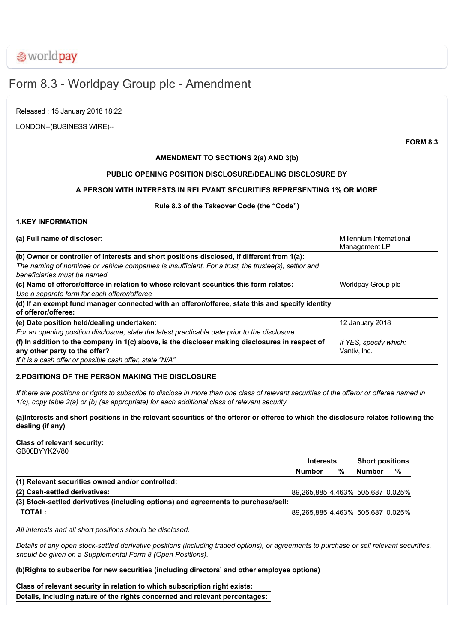# Form 8.3 - Worldpay Group plc - Amendment

Released : 15 January 2018 18:22

LONDON--(BUSINESS WIRE)--

**FORM 8.3**

# **AMENDMENT TO SECTIONS 2(a) AND 3(b)**

# **PUBLIC OPENING POSITION DISCLOSURE/DEALING DISCLOSURE BY**

# **A PERSON WITH INTERESTS IN RELEVANT SECURITIES REPRESENTING 1% OR MORE**

# **Rule 8.3 of the Takeover Code (the "Code")**

# **1.KEY INFORMATION**

| (a) Full name of discloser:                                                                                                          | Millennium International<br>Management LP |
|--------------------------------------------------------------------------------------------------------------------------------------|-------------------------------------------|
| (b) Owner or controller of interests and short positions disclosed, if different from 1(a):                                          |                                           |
| The naming of nominee or vehicle companies is insufficient. For a trust, the trustee(s), settlor and<br>beneficiaries must be named. |                                           |
| (c) Name of offeror/offeree in relation to whose relevant securities this form relates:                                              | Worldpay Group plc                        |
| Use a separate form for each offeror/offeree                                                                                         |                                           |
| (d) If an exempt fund manager connected with an offeror/offeree, state this and specify identity<br>of offeror/offeree:              |                                           |
| (e) Date position held/dealing undertaken:                                                                                           | 12 January 2018                           |
| For an opening position disclosure, state the latest practicable date prior to the disclosure                                        |                                           |
| (f) In addition to the company in 1(c) above, is the discloser making disclosures in respect of                                      | If YES, specify which:                    |
| any other party to the offer?                                                                                                        | Vantiv, Inc.                              |
| If it is a cash offer or possible cash offer, state "N/A"                                                                            |                                           |

# **2.POSITIONS OF THE PERSON MAKING THE DISCLOSURE**

*If there are positions or rights to subscribe to disclose in more than one class of relevant securities of the offeror or offeree named in 1(c), copy table 2(a) or (b) (as appropriate) for each additional class of relevant security.*

**(a)Interests and short positions in the relevant securities of the offeror or offeree to which the disclosure relates following the dealing (if any)**

#### **Class of relevant security:** GB00BYYK2V80

**Interests Short positions Number % Number % (1) Relevant securities owned and/or controlled: (2) Cashsettled derivatives:** 89,265,885 4.463% 505,687 0.025% (3) Stock-settled derivatives (including options) and agreements to purchase/sell: **TOTAL:** 89,265,885 4.463% 505,687 0.025%

*All interests and all short positions should be disclosed.*

*Details of any open stocksettled derivative positions (including traded options), or agreements to purchase or sell relevant securities, should be given on a Supplemental Form 8 (Open Positions).*

# **(b)Rights to subscribe for new securities (including directors' and other employee options)**

**Class of relevant security in relation to which subscription right exists: Details, including nature of the rights concerned and relevant percentages:**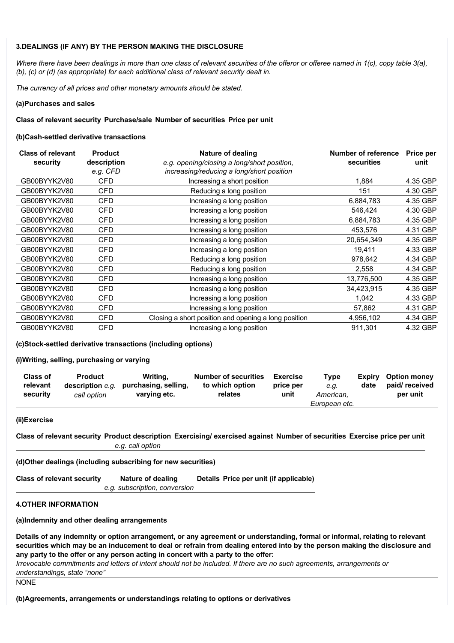# **3.DEALINGS (IF ANY) BY THE PERSON MAKING THE DISCLOSURE**

*Where there have been dealings in more than one class of relevant securities of the offeror or offeree named in 1(c), copy table 3(a), (b), (c) or (d) (as appropriate) for each additional class of relevant security dealt in.*

*The currency of all prices and other monetary amounts should be stated.*

#### **(a)Purchases and sales**

#### **Class of relevant security Purchase/sale Number of securities Price per unit**

#### **(b)Cash-settled derivative transactions**

| <b>Class of relevant</b> | <b>Product</b> | Nature of dealing                                    | Number of reference | <b>Price per</b> |
|--------------------------|----------------|------------------------------------------------------|---------------------|------------------|
| security                 | description    | e.g. opening/closing a long/short position,          | securities          | unit             |
|                          | e.g. CFD       | increasing/reducing a long/short position            |                     |                  |
| GB00BYYK2V80             | <b>CFD</b>     | Increasing a short position                          | 1.884               | 4.35 GBP         |
| GB00BYYK2V80             | <b>CFD</b>     | Reducing a long position                             | 151                 | 4.30 GBP         |
| GB00BYYK2V80             | CFD            | Increasing a long position                           | 6,884,783           | 4.35 GBP         |
| GB00BYYK2V80             | CFD            | Increasing a long position                           | 546,424             | 4.30 GBP         |
| GB00BYYK2V80             | CFD            | Increasing a long position                           | 6,884,783           | 4.35 GBP         |
| GB00BYYK2V80             | CFD            | Increasing a long position                           | 453,576             | 4.31 GBP         |
| GB00BYYK2V80             | <b>CFD</b>     | Increasing a long position                           | 20,654,349          | 4.35 GBP         |
| GB00BYYK2V80             | <b>CFD</b>     | Increasing a long position                           | 19,411              | 4.33 GBP         |
| GB00BYYK2V80             | <b>CFD</b>     | Reducing a long position                             | 978,642             | 4.34 GBP         |
| GB00BYYK2V80             | <b>CFD</b>     | Reducing a long position                             | 2,558               | 4.34 GBP         |
| GB00BYYK2V80             | <b>CFD</b>     | Increasing a long position                           | 13,776,500          | 4.35 GBP         |
| GB00BYYK2V80             | <b>CFD</b>     | Increasing a long position                           | 34,423,915          | 4.35 GBP         |
| GB00BYYK2V80             | <b>CFD</b>     | Increasing a long position                           | 1,042               | 4.33 GBP         |
| GB00BYYK2V80             | <b>CFD</b>     | Increasing a long position                           | 57,862              | 4.31 GBP         |
| GB00BYYK2V80             | <b>CFD</b>     | Closing a short position and opening a long position | 4,956,102           | 4.34 GBP         |
| GB00BYYK2V80             | <b>CFD</b>     | Increasing a long position                           | 911,301             | 4.32 GBP         |

# **(c)Stocksettled derivative transactions (including options)**

#### **(i)Writing, selling, purchasing or varying**

| <b>Class of</b><br>relevant | <b>Product</b><br>description e.a. | Writina.<br>purchasing, selling, | <b>Number of securities</b><br>to which option | Exercise<br>price per | Type<br>e.a.  | Expiry<br>date | <b>Option money</b><br>paid/ received |
|-----------------------------|------------------------------------|----------------------------------|------------------------------------------------|-----------------------|---------------|----------------|---------------------------------------|
| security                    | call option                        | varying etc.                     | relates                                        | unit                  | American.     |                | per unit                              |
|                             |                                    |                                  |                                                |                       | European etc. |                |                                       |

#### **(ii)Exercise**

Class of relevant security Product description Exercising/ exercised against Number of securities Exercise price per unit *e.g. call option*

# **(d)Other dealings (including subscribing for new securities)**

| <b>Class of relevant security</b> | Nature of dealing             | Details Price per unit (if applicable) |
|-----------------------------------|-------------------------------|----------------------------------------|
|                                   | e.g. subscription, conversion |                                        |

#### **4.OTHER INFORMATION**

**(a)Indemnity and other dealing arrangements**

**Details of any indemnity or option arrangement, or any agreement or understanding, formal or informal, relating to relevant securities which may be an inducement to deal or refrain from dealing entered into by the person making the disclosure and any party to the offer or any person acting in concert with a party to the offer:**

*Irrevocable commitments and letters of intent should not be included. If there are no such agreements, arrangements or understandings, state "none"*

NONE